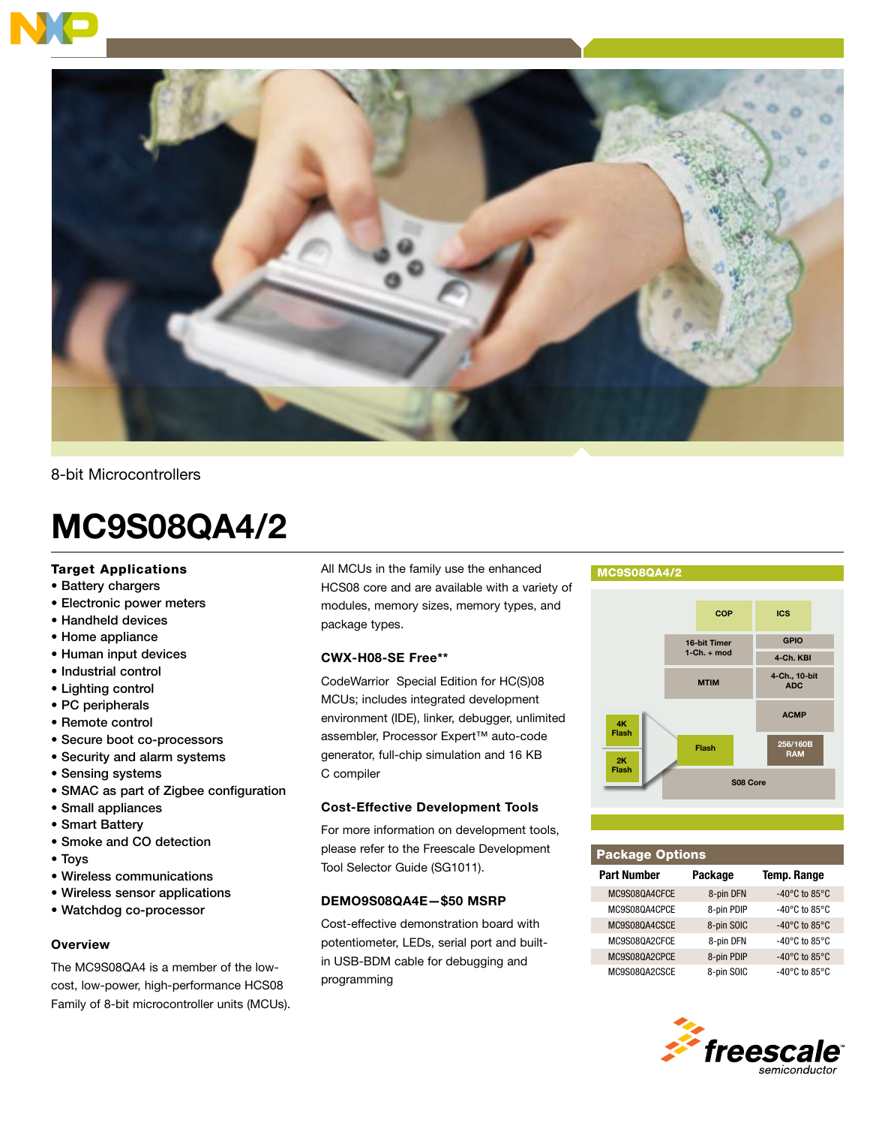



# 8-bit Microcontrollers

# MC9S08QA4/2

## Target Applications

- Battery chargers
- Electronic power meters
- Handheld devices
- Home appliance
- Human input devices
- Industrial control
- Lighting control
- PC peripherals
- Remote control
- Secure boot co-processors
- Security and alarm systems
- Sensing systems
- SMAC as part of Zigbee configuration
- Small appliances
- Smart Battery
- Smoke and CO detection
- Toys
- Wireless communications
- Wireless sensor applications
- Watchdog co-processor

#### **Overview**

The MC9S08QA4 is a member of the lowcost, low-power, high-performance HCS08 Family of 8-bit microcontroller units (MCUs). All MCUs in the family use the enhanced HCS08 core and are available with a variety of modules, memory sizes, memory types, and package types.

### CWX-H08-SE Free\*\*

CodeWarrior Special Edition for HC(S)08 MCUs; includes integrated development environment (IDE), linker, debugger, unlimited assembler, Processor Expert™ auto-code generator, full-chip simulation and 16 KB C compiler

#### Cost-Effective Development Tools

For more information on development tools, please refer to the Freescale Development Tool Selector Guide (SG1011).

#### DEMO9S08QA4E—\$50 MSRP

Cost-effective demonstration board with potentiometer, LEDs, serial port and builtin USB-BDM cable for debugging and programming



| <b>Package Options</b> |            |                                     |
|------------------------|------------|-------------------------------------|
| <b>Part Number</b>     | Package    | <b>Temp. Range</b>                  |
| MC9S08QA4CFCE          | 8-pin DFN  | -40 $^{\circ}$ C to 85 $^{\circ}$ C |
| MC9S080A4CPCE          | 8-pin PDIP | $-40^{\circ}$ C to 85 $^{\circ}$ C  |
| MC9S08QA4CSCE          | 8-pin SOIC | -40 $^{\circ}$ C to 85 $^{\circ}$ C |
| MC9S08QA2CFCE          | 8-pin DFN  | $-40^{\circ}$ C to 85 $^{\circ}$ C  |
| MC9S08QA2CPCE          | 8-pin PDIP | -40 $^{\circ}$ C to 85 $^{\circ}$ C |
| MC9S08QA2CSCE          | 8-pin SOIC | -40 $^{\circ}$ C to 85 $^{\circ}$ C |